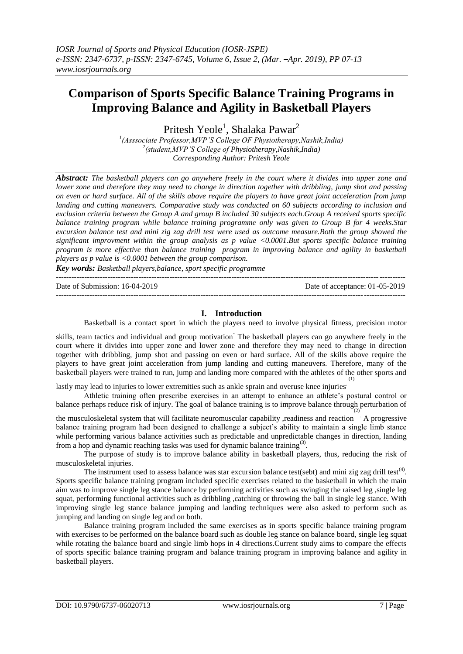# **Comparison of Sports Specific Balance Training Programs in Improving Balance and Agility in Basketball Players**

Pritesh Yeole<sup>1</sup>, Shalaka Pawar<sup>2</sup>

*1 (Asssociate Professor,MVP'S College OF Physiotherapy,Nashik,India) 2 (student,MVP'S College of Physiotherapy,Nashik,India) Corresponding Author: Pritesh Yeole*

*Abstract: The basketball players can go anywhere freely in the court where it divides into upper zone and lower zone and therefore they may need to change in direction together with dribbling, jump shot and passing on even or hard surface. All of the skills above require the players to have great joint acceleration from jump landing and cutting maneuvers. Comparative study was conducted on 60 subjects according to inclusion and exclusion criteria between the Group A and group B included 30 subjects each.Group A received sports specific balance training program while balance training programme only was given to Group B for 4 weeks.Star excursion balance test and mini zig zag drill test were used as outcome measure.Both the group showed the significant improvment within the group analysis as p value <0.0001.But sports specific balance training program is more effective than balance training program in improving balance and agility in basketball players as p value is <0.0001 between the group comparison.*

*Key words: Basketball players,balance, sport specific programme*

Date of Submission: 16-04-2019 Date of acceptance: 01-05-2019

## **I. Introduction**

---------------------------------------------------------------------------------------------------------------------------------------

---------------------------------------------------------------------------------------------------------------------------------------

Basketball is a contact sport in which the players need to involve physical fitness, precision motor

skills, team tactics and individual and group motivation<sup>.</sup> The basketball players can go anywhere freely in the court where it divides into upper zone and lower zone and therefore they may need to change in direction together with dribbling, jump shot and passing on even or hard surface. All of the skills above require the players to have great joint acceleration from jump landing and cutting maneuvers. Therefore, many of the basketball players were trained to run, jump and landing more compared with the athletes of the other sports and .(1)

lastly may lead to injuries to lower extremities such as ankle sprain and overuse knee injuries.

Athletic training often prescribe exercises in an attempt to enhance an athlete's postural control or balance perhaps reduce risk of injury. The goal of balance training is to improve balance through perturbation of (2)

the musculoskeletal system that will facilitate neuromuscular capability ,readiness and reaction . A progressive balance training program had been designed to challenge a subject's ability to maintain a single limb stance while performing various balance activities such as predictable and unpredictable changes in direction, landing from a hop and dynamic reaching tasks was used for dynamic balance training<sup>(3)</sup>.

The purpose of study is to improve balance ability in basketball players, thus, reducing the risk of musculoskeletal injuries.

The instrument used to assess balance was star excursion balance test(sebt) and mini zig zag drill test<sup>(4)</sup>. Sports specific balance training program included specific exercises related to the basketball in which the main aim was to improve single leg stance balance by performing activities such as swinging the raised leg , single leg squat, performing functional activities such as dribbling ,catching or throwing the ball in single leg stance. With improving single leg stance balance jumping and landing techniques were also asked to perform such as jumping and landing on single leg and on both.

Balance training program included the same exercises as in sports specific balance training program with exercises to be performed on the balance board such as double leg stance on balance board, single leg squat while rotating the balance board and single limb hops in 4 directions. Current study aims to compare the effects of sports specific balance training program and balance training program in improving balance and agility in basketball players.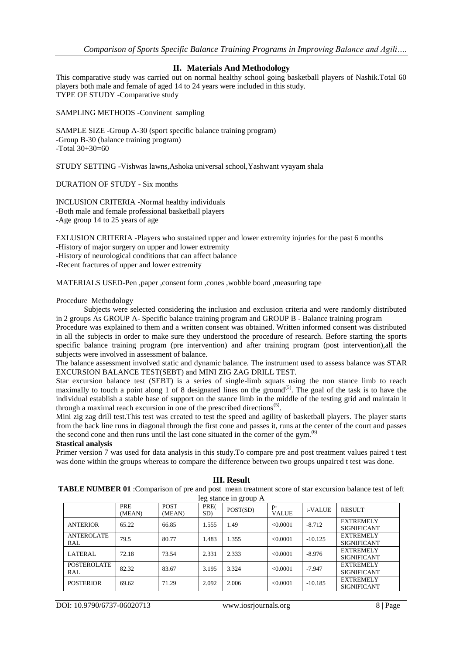## **II. Materials And Methodology**

This comparative study was carried out on normal healthy school going basketball players of Nashik.Total 60 players both male and female of aged 14 to 24 years were included in this study. TYPE OF STUDY -Comparative study

SAMPLING METHODS -Convinent sampling

SAMPLE SIZE -Group A-30 (sport specific balance training program) -Group B-30 (balance training program)  $-Total \overline{30+30=60}$ 

STUDY SETTING -Vishwas lawns,Ashoka universal school,Yashwant vyayam shala

DURATION OF STUDY - Six months

INCLUSION CRITERIA -Normal healthy individuals -Both male and female professional basketball players -Age group 14 to 25 years of age

EXLUSION CRITERIA -Players who sustained upper and lower extremity injuries for the past 6 months -History of major surgery on upper and lower extremity -History of neurological conditions that can affect balance -Recent fractures of upper and lower extremity

MATERIALS USED-Pen ,paper ,consent form ,cones ,wobble board ,measuring tape

## Procedure Methodology

Subjects were selected considering the inclusion and exclusion criteria and were randomly distributed in 2 groups As GROUP A- Specific balance training program and GROUP B - Balance training program

Procedure was explained to them and a written consent was obtained. Written informed consent was distributed in all the subjects in order to make sure they understood the procedure of research. Before starting the sports specific balance training program (pre intervention) and after training program (post intervention),all the subjects were involved in assessment of balance.

The balance assessment involved static and dynamic balance. The instrument used to assess balance was STAR EXCURSION BALANCE TEST(SEBT) and MINI ZIG ZAG DRILL TEST.

Star excursion balance test (SEBT) is a series of single-limb squats using the non stance limb to reach maximally to touch a point along 1 of 8 designated lines on the ground<sup>(5)</sup>. The goal of the task is to have the individual establish a stable base of support on the stance limb in the middle of the testing grid and maintain it through a maximal reach excursion in one of the prescribed directions<sup>(5)</sup>.

Mini zig zag drill test.This test was created to test the speed and agility of basketball players. The player starts from the back line runs in diagonal through the first cone and passes it, runs at the center of the court and passes the second cone and then runs until the last cone situated in the corner of the gym. $(6)$ 

## **Stastical analysis**

Primer version 7 was used for data analysis in this study.To compare pre and post treatment values paired t test was done within the groups whereas to compare the difference between two groups unpaired t test was done.

| <b>TABLE NUMBER 01</b> : Comparison of pre and post mean treatment score of star excursion balance test of left |                      |                       |             |          |                      |           |                                        |
|-----------------------------------------------------------------------------------------------------------------|----------------------|-----------------------|-------------|----------|----------------------|-----------|----------------------------------------|
| leg stance in group A                                                                                           |                      |                       |             |          |                      |           |                                        |
|                                                                                                                 | <b>PRE</b><br>(MEAN) | <b>POST</b><br>(MEAN) | PRE(<br>SD) | POST(SD) | $p-$<br><b>VALUE</b> | t-VALUE   | <b>RESULT</b>                          |
| <b>ANTERIOR</b>                                                                                                 | 65.22                | 66.85                 | 1.555       | 1.49     | <0.0001              | $-8.712$  | <b>EXTREMELY</b><br><b>SIGNIFICANT</b> |
| <b>ANTEROLATE</b><br>RAL                                                                                        | 79.5                 | 80.77                 | 1.483       | 1.355    | < 0.0001             | $-10.125$ | <b>EXTREMELY</b><br><b>SIGNIFICANT</b> |
| LATERAL                                                                                                         | 72.18                | 73.54                 | 2.331       | 2.333    | < 0.0001             | $-8.976$  | <b>EXTREMELY</b><br><b>SIGNIFICANT</b> |
| <b>POSTEROLATE</b><br>RAL                                                                                       | 82.32                | 83.67                 | 3.195       | 3.324    | < 0.0001             | $-7.947$  | <b>EXTREMELY</b><br><b>SIGNIFICANT</b> |
| <b>POSTERIOR</b>                                                                                                | 69.62                | 71.29                 | 2.092       | 2.006    | < 0.0001             | $-10.185$ | <b>EXTREMELY</b><br><b>SIGNIFICANT</b> |

#### **III. Result**

DOI: 10.9790/6737-06020713 www.iosrjournals.org 8 | Page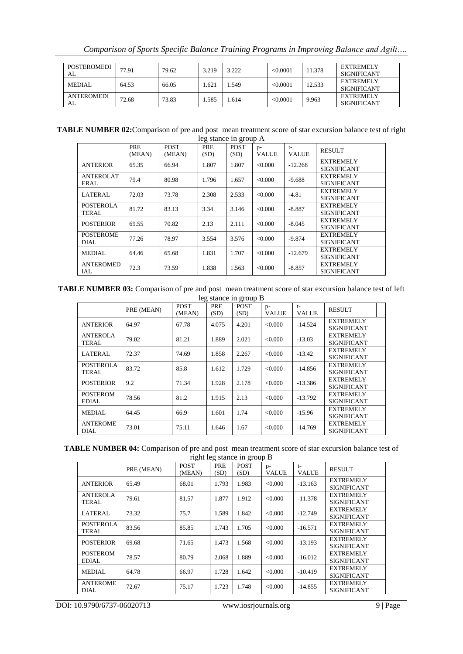| POSTEROMEDI<br>AL       | 77.91 | 79.62 | 3.219 | 3.222 | < 0.0001 | 1.378  | <b>EXTREMELY</b><br><b>SIGNIFICANT</b> |
|-------------------------|-------|-------|-------|-------|----------|--------|----------------------------------------|
| <b>MEDIAL</b>           | 64.53 | 66.05 | .621  | .549  | <0.0001  | 12.533 | <b>EXTREMELY</b><br><b>SIGNIFICANT</b> |
| <b>ANTEROMEDI</b><br>AL | 72.68 | 73.83 | .585  | . 614 | <0.0001  | 9.963  | <b>EXTREMELY</b><br><b>SIGNIFICANT</b> |

**TABLE NUMBER 02:**Comparison of pre and post mean treatment score of star excursion balance test of right leg stance in group A

|                                 | PRE<br>(MEAN) | <b>POST</b><br>(MEAN) | 0<br>PRE<br>(SD) | $\circ$<br><b>POST</b><br>(SD) | $p-$<br><b>VALUE</b> | $t-$<br><b>VALUE</b> | <b>RESULT</b>                          |
|---------------------------------|---------------|-----------------------|------------------|--------------------------------|----------------------|----------------------|----------------------------------------|
| <b>ANTERIOR</b>                 | 65.35         | 66.94                 | 1.807            | 1.807                          | < 0.000              | $-12.268$            | <b>EXTREMELY</b><br><b>SIGNIFICANT</b> |
| ANTEROLAT<br>ERAL               | 79.4          | 80.98                 | 1.796            | 1.657                          | < 0.000              | $-9.688$             | <b>EXTREMELY</b><br><b>SIGNIFICANT</b> |
| <b>LATERAL</b>                  | 72.03         | 73.78                 | 2.308            | 2.533                          | < 0.000              | $-4.81$              | <b>EXTREMELY</b><br><b>SIGNIFICANT</b> |
| <b>POSTEROLA</b><br>TERAL       | 81.72         | 83.13                 | 3.34             | 3.146                          | < 0.000              | $-8.887$             | <b>EXTREMELY</b><br><b>SIGNIFICANT</b> |
| <b>POSTERIOR</b>                | 69.55         | 70.82                 | 2.13             | 2.111                          | < 0.000              | $-8.045$             | <b>EXTREMELY</b><br><b>SIGNIFICANT</b> |
| <b>POSTEROME</b><br><b>DIAL</b> | 77.26         | 78.97                 | 3.554            | 3.576                          | < 0.000              | $-9.874$             | <b>EXTREMELY</b><br><b>SIGNIFICANT</b> |
| <b>MEDIAL</b>                   | 64.46         | 65.68                 | 1.831            | 1.707                          | < 0.000              | $-12.679$            | <b>EXTREMELY</b><br><b>SIGNIFICANT</b> |
| <b>ANTEROMED</b><br>IAL         | 72.3          | 73.59                 | 1.838            | 1.563                          | < 0.000              | $-8.857$             | <b>EXTREMELY</b><br><b>SIGNIFICANT</b> |

**TABLE NUMBER 03:** Comparison of pre and post mean treatment score of star excursion balance test of left leg stance in group B

|                                 | $\frac{10}{2}$ biance in group <b>D</b> |                       |             |                     |                      |                      |                                        |
|---------------------------------|-----------------------------------------|-----------------------|-------------|---------------------|----------------------|----------------------|----------------------------------------|
|                                 | PRE (MEAN)                              | <b>POST</b><br>(MEAN) | PRE<br>(SD) | <b>POST</b><br>(SD) | $p-$<br><b>VALUE</b> | $t-$<br><b>VALUE</b> | <b>RESULT</b>                          |
| <b>ANTERIOR</b>                 | 64.97                                   | 67.78                 | 4.075       | 4.201               | < 0.000              | $-14.524$            | <b>EXTREMELY</b><br><b>SIGNIFICANT</b> |
| <b>ANTEROLA</b><br>TERAL        | 79.02                                   | 81.21                 | 1.889       | 2.021               | < 0.000              | $-13.03$             | <b>EXTREMELY</b><br><b>SIGNIFICANT</b> |
| <b>LATERAL</b>                  | 72.37                                   | 74.69                 | 1.858       | 2.267               | < 0.000              | $-13.42$             | <b>EXTREMELY</b><br><b>SIGNIFICANT</b> |
| <b>POSTEROLA</b><br>TERAL       | 83.72                                   | 85.8                  | 1.612       | 1.729               | < 0.000              | $-14.856$            | <b>EXTREMELY</b><br><b>SIGNIFICANT</b> |
| <b>POSTERIOR</b>                | 9.2                                     | 71.34                 | 1.928       | 2.178               | < 0.000              | $-13.386$            | <b>EXTREMELY</b><br><b>SIGNIFICANT</b> |
| <b>POSTEROM</b><br><b>EDIAL</b> | 78.56                                   | 81.2                  | 1.915       | 2.13                | < 0.000              | $-13.792$            | <b>EXTREMELY</b><br><b>SIGNIFICANT</b> |
| <b>MEDIAL</b>                   | 64.45                                   | 66.9                  | 1.601       | 1.74                | < 0.000              | $-15.96$             | <b>EXTREMELY</b><br><b>SIGNIFICANT</b> |
| <b>ANTEROME</b><br><b>DIAL</b>  | 73.01                                   | 75.11                 | 1.646       | 1.67                | < 0.000              | $-14.769$            | <b>EXTREMELY</b><br><b>SIGNIFICANT</b> |

|                             | <b>TABLE NUMBER 04:</b> Comparison of pre and post mean treatment score of star excursion balance test of |  |  |  |  |
|-----------------------------|-----------------------------------------------------------------------------------------------------------|--|--|--|--|
| right leg stance in group R |                                                                                                           |  |  |  |  |

|                  |            | <b>POST</b> | PRE   | $\frac{1}{2}$ $\frac{1}{2}$ $\frac{1}{2}$ $\frac{1}{2}$ $\frac{1}{2}$ $\frac{1}{2}$ $\frac{1}{2}$ $\frac{1}{2}$ $\frac{1}{2}$ $\frac{1}{2}$<br><b>POST</b> |                      | $t-$         |                    |
|------------------|------------|-------------|-------|------------------------------------------------------------------------------------------------------------------------------------------------------------|----------------------|--------------|--------------------|
|                  | PRE (MEAN) | (MEAN)      | (SD)  | (SD)                                                                                                                                                       | $p-$<br><b>VALUE</b> | <b>VALUE</b> | <b>RESULT</b>      |
| <b>ANTERIOR</b>  | 65.49      | 68.01       | 1.793 | 1.983                                                                                                                                                      | < 0.000              | $-13.163$    | <b>EXTREMELY</b>   |
|                  |            |             |       |                                                                                                                                                            |                      |              | <b>SIGNIFICANT</b> |
| <b>ANTEROLA</b>  | 79.61      | 81.57       | 1.877 | 1.912                                                                                                                                                      | < 0.000              | $-11.378$    | <b>EXTREMELY</b>   |
| TERAL            |            |             |       |                                                                                                                                                            |                      |              | <b>SIGNIFICANT</b> |
| <b>LATERAL</b>   | 73.32      | 75.7        | 1.589 | 1.842                                                                                                                                                      | < 0.000              | $-12.749$    | <b>EXTREMELY</b>   |
|                  |            |             |       |                                                                                                                                                            |                      |              | <b>SIGNIFICANT</b> |
| <b>POSTEROLA</b> | 83.56      | 85.85       | 1.743 | 1.705                                                                                                                                                      | < 0.000              | $-16.571$    | <b>EXTREMELY</b>   |
| TERAL            |            |             |       |                                                                                                                                                            |                      |              | <b>SIGNIFICANT</b> |
| <b>POSTERIOR</b> | 69.68      | 71.65       | 1.473 | 1.568                                                                                                                                                      | < 0.000              | $-13.193$    | <b>EXTREMELY</b>   |
|                  |            |             |       |                                                                                                                                                            |                      |              | SIGNIFICANT        |
| <b>POSTEROM</b>  | 78.57      | 80.79       | 2.068 | 1.889                                                                                                                                                      | < 0.000              | $-16.012$    | <b>EXTREMELY</b>   |
| <b>EDIAL</b>     |            |             |       |                                                                                                                                                            |                      |              | <b>SIGNIFICANT</b> |
| <b>MEDIAL</b>    | 64.78      | 66.97       | 1.728 | 1.642                                                                                                                                                      | < 0.000              | $-10.419$    | <b>EXTREMELY</b>   |
|                  |            |             |       |                                                                                                                                                            |                      |              | SIGNIFICANT        |
| <b>ANTEROME</b>  | 72.67      | 75.17       | 1.723 | 1.748                                                                                                                                                      | < 0.000              | $-14.855$    | <b>EXTREMELY</b>   |
| DIAL             |            |             |       |                                                                                                                                                            |                      |              | <b>SIGNIFICANT</b> |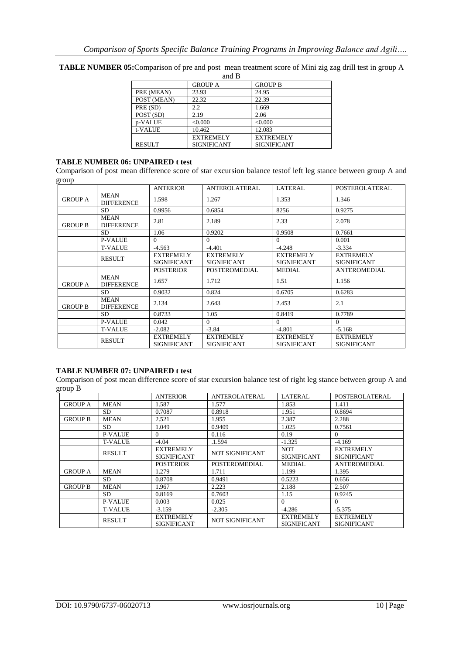|               | ани в              |                    |  |  |  |  |  |  |
|---------------|--------------------|--------------------|--|--|--|--|--|--|
|               | <b>GROUP A</b>     | <b>GROUP B</b>     |  |  |  |  |  |  |
| PRE (MEAN)    | 23.93              | 24.95              |  |  |  |  |  |  |
| POST (MEAN)   | 22.32              | 22.39              |  |  |  |  |  |  |
| PRE (SD)      | 2.2                | 1.669              |  |  |  |  |  |  |
| POST (SD)     | 2.19               | 2.06               |  |  |  |  |  |  |
| p-VALUE       | < 0.000            | < 0.000            |  |  |  |  |  |  |
| t-VALUE       | 10.462             | 12.083             |  |  |  |  |  |  |
|               | <b>EXTREMELY</b>   | <b>EXTREMELY</b>   |  |  |  |  |  |  |
| <b>RESULT</b> | <b>SIGNIFICANT</b> | <b>SIGNIFICANT</b> |  |  |  |  |  |  |

**TABLE NUMBER 05:**Comparison of pre and post mean treatment score of Mini zig zag drill test in group A and B

## **TABLE NUMBER 06: UNPAIRED t test**

Comparison of post mean difference score of star excursion balance testof left leg stance between group A and group

|                |                                  | <b>ANTERIOR</b>                        | ANTEROLATERAL                          | LATERAL                                | POSTEROLATERAL                         |
|----------------|----------------------------------|----------------------------------------|----------------------------------------|----------------------------------------|----------------------------------------|
| <b>GROUP A</b> | <b>MEAN</b><br><b>DIFFERENCE</b> | 1.598                                  | 1.267                                  | 1.353                                  | 1.346                                  |
|                | SD.                              | 0.9956                                 | 0.6854                                 | 8256                                   | 0.9275                                 |
| <b>GROUP B</b> | <b>MEAN</b><br><b>DIFFERENCE</b> | 2.81                                   | 2.189                                  | 2.33                                   | 2.078                                  |
|                | SD.                              | 1.06                                   | 0.9202                                 | 0.9508                                 | 0.7661                                 |
|                | <b>P-VALUE</b>                   | $\Omega$                               | $\Omega$                               | $\Omega$                               | 0.001                                  |
|                | <b>T-VALUE</b>                   | $-4.563$                               | $-4.401$                               | $-4.248$                               | $-3.334$                               |
|                | <b>RESULT</b>                    | <b>EXTREMELY</b><br><b>SIGNIFICANT</b> | <b>EXTREMELY</b><br><b>SIGNIFICANT</b> | <b>EXTREMELY</b><br><b>SIGNIFICANT</b> | <b>EXTREMELY</b><br><b>SIGNIFICANT</b> |
|                |                                  | <b>POSTERIOR</b>                       | <b>POSTEROMEDIAL</b>                   | <b>MEDIAL</b>                          | <b>ANTEROMEDIAL</b>                    |
| <b>GROUP A</b> | <b>MEAN</b><br><b>DIFFERENCE</b> | 1.657                                  | 1.712                                  | 1.51                                   | 1.156                                  |
|                | <b>SD</b>                        | 0.9032                                 | 0.824                                  | 0.6705                                 | 0.6283                                 |
| <b>GROUP B</b> | <b>MEAN</b><br><b>DIFFERENCE</b> | 2.134                                  | 2.643                                  | 2.453                                  | 2.1                                    |
|                | <b>SD</b>                        | 0.8733                                 | 1.05                                   | 0.8419                                 | 0.7789                                 |
|                | <b>P-VALUE</b>                   | 0.042                                  | $\Omega$                               | $\Omega$                               | $\Omega$                               |
|                | <b>T-VALUE</b>                   | $-2.082$                               | $-3.84$                                | $-4.801$                               | $-5.168$                               |
|                | <b>RESULT</b>                    | <b>EXTREMELY</b><br><b>SIGNIFICANT</b> | <b>EXTREMELY</b><br><b>SIGNIFICANT</b> | <b>EXTREMELY</b><br><b>SIGNIFICANT</b> | <b>EXTREMELY</b><br><b>SIGNIFICANT</b> |

# **TABLE NUMBER 07: UNPAIRED t test**

Comparison of post mean difference score of star excursion balance test of right leg stance between group A and group B

|                |                | <b>ANTERIOR</b>                 | <b>ANTEROLATERAL</b> | LATERAL                                | POSTEROLATERAL                         |
|----------------|----------------|---------------------------------|----------------------|----------------------------------------|----------------------------------------|
| <b>GROUP A</b> | <b>MEAN</b>    | 1.587                           | 1.577                | 1.853                                  | 1.411                                  |
|                | SD.            | 0.7087                          | 0.8918               | 1.951                                  | 0.8694                                 |
| <b>GROUP B</b> | <b>MEAN</b>    | 2.521                           | 1.955                | 2.387                                  | 2.288                                  |
|                | SD.            | 1.049                           | 0.9409               | 1.025                                  | 0.7561                                 |
|                | <b>P-VALUE</b> | $\Omega$                        | 0.116                | 0.19                                   | $\theta$                               |
|                | <b>T-VALUE</b> | $-4.04$                         | .1.594               | $-1.325$                               | $-4.169$                               |
|                | <b>RESULT</b>  | <b>EXTREMELY</b>                | NOT SIGNIFICANT      | <b>NOT</b>                             | <b>EXTREMELY</b>                       |
|                |                | <b>SIGNIFICANT</b>              |                      | <b>SIGNIFICANT</b>                     | <b>SIGNIFICANT</b>                     |
|                |                | <b>POSTERIOR</b>                | POSTEROMEDIAL        | <b>MEDIAL</b>                          | <b>ANTEROMEDIAL</b>                    |
| <b>GROUP A</b> | <b>MEAN</b>    | 1.279                           | 1.711                | 1.199                                  | 1.395                                  |
|                | SD.            | 0.8708                          | 0.9491               | 0.5223                                 | 0.656                                  |
| <b>GROUP B</b> | <b>MEAN</b>    | 1.967                           | 2.223                | 2.188                                  | 2.507                                  |
|                | <b>SD</b>      | 0.8169                          | 0.7603               | 1.15                                   | 0.9245                                 |
|                | <b>P-VALUE</b> | 0.003                           | 0.025                | $\Omega$                               | $\theta$                               |
|                | <b>T-VALUE</b> | $-3.159$                        | $-2.305$             | $-4.286$                               | $-5.375$                               |
|                | <b>RESULT</b>  | <b>EXTREMELY</b><br>SIGNIFICANT | NOT SIGNIFICANT      | <b>EXTREMELY</b><br><b>SIGNIFICANT</b> | <b>EXTREMELY</b><br><b>SIGNIFICANT</b> |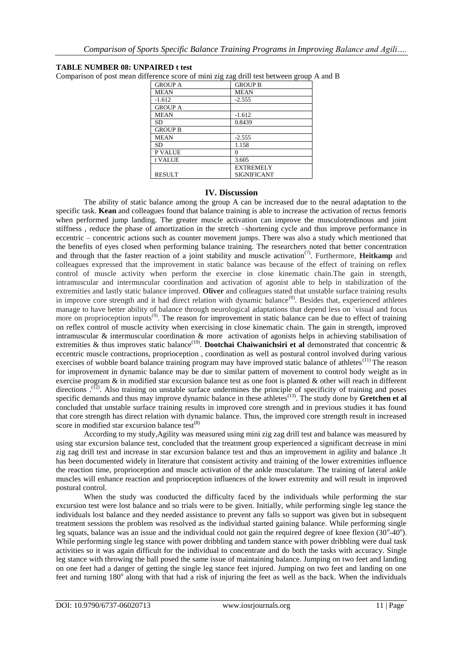## **TABLE NUMBER 08: UNPAIRED t test**

Comparison of post mean difference score of mini zig zag drill test between group A and B

| <b>GROUP A</b> | <b>GROUP B</b>     |
|----------------|--------------------|
| <b>MEAN</b>    | <b>MEAN</b>        |
| $-1.612$       | $-2.555$           |
| <b>GROUP A</b> |                    |
| <b>MEAN</b>    | $-1.612$           |
| <b>SD</b>      | 0.8439             |
| <b>GROUP B</b> |                    |
| <b>MEAN</b>    | $-2.555$           |
| <b>SD</b>      | 1.158              |
| P VALUE        | 0                  |
| t VALUE        | 3.605              |
|                | <b>EXTREMELY</b>   |
| <b>RESULT</b>  | <b>SIGNIFICANT</b> |

## **IV. Discussion**

The ability of static balance among the group A can be increased due to the neural adaptation to the specific task. **Kean** and colleagues found that balance training is able to increase the activation of rectus femoris when performed jump landing. The greater muscle activation can improve the musculotendinous and joint stiffness , reduce the phase of amortization in the stretch –shortening cycle and thus improve performance in eccentric – concentric actions such as counter movement jumps. There was also a study which mentioned that the benefits of eyes closed when performing balance training. The researchers noted that better concentration and through that the faster reaction of a joint stability and muscle activation<sup>(7)</sup>. Furthermore, **Heitkamp** and colleagues expressed that the improvement in static balance was because of the effect of training on reflex control of muscle activity when perform the exercise in close kinematic chain.The gain in strength, intramuscular and intermuscular coordination and activation of agonist able to help in stabilization of the extremities and lastly static balance improved. **Oliver** and colleagues stated that unstable surface training results in improve core strength and it had direct relation with dynamic balance<sup>(8)</sup>. Besides that, experienced athletes manage to have better ability of balance through neurological adaptations that depend less on `visual and focus more on proprioception inputs<sup>(9)</sup>. The reason for improvement in static balance can be due to effect of training on reflex control of muscle activity when exercising in close kinematic chain. The gain in strength, improved intramuscular & intermuscular coordination & more activation of agonists helps in achieving stabilisation of extremities & thus improves static balance<sup>(10)</sup>. **Dootchai Chaiwanichsiri et al** demonstrated that concentric & eccentric muscle contractions, proprioception , coordination as well as postural control involved during various exercises of wobble board balance training program may have improved static balance of athletes<sup>(11)</sup> The reason for improvement in dynamic balance may be due to similar pattern of movement to control body weight as in exercise program & in modified star excursion balance test as one foot is planted & other will reach in different directions .<sup>(12)</sup>. Also training on unstable surface undermines the principle of specificity of training and poses specific demands and thus may improve dynamic balance in these athletes<sup>(13)</sup>. The study done by **Gretchen et al** concluded that unstable surface training results in improved core strength and in previous studies it has found that core strength has direct relation with dynamic balance. Thus, the improved core strength result in increased score in modified star excursion balance test $(8)$ 

According to my study,Agility was measured using mini zig zag drill test and balance was measured by using star excursion balance test, concluded that the treatment group experienced a significant decrease in mini zig zag drill test and increase in star excursion balance test and thus an improvement in agility and balance .It has been documented widely in literature that consistent activity and training of the lower extremities influence the reaction time, proprioception and muscle activation of the ankle musculature. The training of lateral ankle muscles will enhance reaction and proprioception influences of the lower extremity and will result in improved postural control.

When the study was conducted the difficulty faced by the individuals while performing the star excursion test were lost balance and so trials were to be given. Initially, while performing single leg stance the individuals lost balance and they needed assistance to prevent any falls so support was given but in subsequent treatment sessions the problem was resolved as the individual started gaining balance. While performing single leg squats, balance was an issue and the individual could not gain the required degree of knee flexion  $(30^{\circ}40^{\circ})$ . While performing single leg stance with power dribbling and tandem stance with power dribbling were dual task activities so it was again difficult for the individual to concentrate and do both the tasks with accuracy. Single leg stance with throwing the ball posed the same issue of maintaining balance. Jumping on two feet and landing on one feet had a danger of getting the single leg stance feet injured. Jumping on two feet and landing on one feet and turning 180<sup>°</sup> along with that had a risk of injuring the feet as well as the back. When the individuals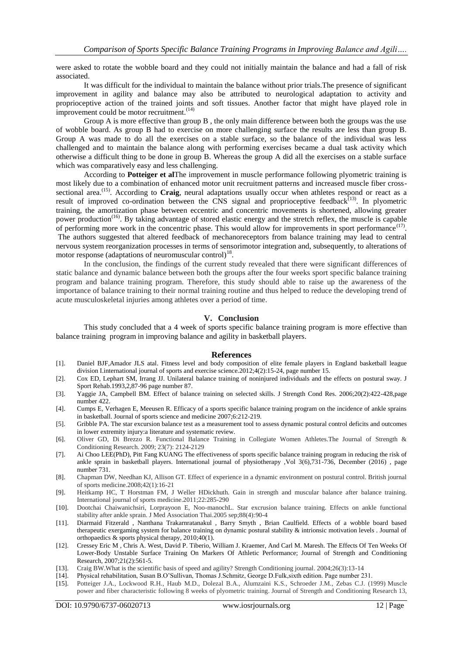were asked to rotate the wobble board and they could not initially maintain the balance and had a fall of risk associated.

It was difficult for the individual to maintain the balance without prior trials.The presence of significant improvement in agility and balance may also be attributed to neurological adaptation to activity and proprioceptive action of the trained joints and soft tissues. Another factor that might have played role in improvement could be motor recruitment. $(14)$ 

Group A is more effective than group B , the only main difference between both the groups was the use of wobble board. As group B had to exercise on more challenging surface the results are less than group B. Group A was made to do all the exercises on a stable surface, so the balance of the individual was less challenged and to maintain the balance along with performing exercises became a dual task activity which otherwise a difficult thing to be done in group B. Whereas the group A did all the exercises on a stable surface which was comparatively easy and less challenging.

According to **Potteiger et al**The improvement in muscle performance following plyometric training is most likely due to a combination of enhanced motor unit recruitment patterns and increased muscle fiber crosssectional area.<sup>(15)</sup>. According to **Craig**, neural adaptations usually occur when athletes respond or react as a result of improved co-ordination between the CNS signal and proprioceptive feedback $^{(13)}$ . In plyometric training, the amortization phase between eccentric and concentric movements is shortened, allowing greater power production(16). By taking advantage of stored elastic energy and the stretch reflex, the muscle is capable of performing more work in the concentric phase. This would allow for improvements in sport performance<sup>(17)</sup>. The authors suggested that altered feedback of mechanoreceptors from balance training may lead to central nervous system reorganization processes in terms of sensorimotor integration and, subsequently, to alterations of motor response (adaptations of neuromuscular control) $^{18}$ .

In the conclusion, the findings of the current study revealed that there were significant differences of static balance and dynamic balance between both the groups after the four weeks sport specific balance training program and balance training program. Therefore, this study should able to raise up the awareness of the importance of balance training to their normal training routine and thus helped to reduce the developing trend of acute musculoskeletal injuries among athletes over a period of time.

## **V. Conclusion**

This study concluded that a 4 week of sports specific balance training program is more effective than balance training program in improving balance and agility in basketball players.

#### **References**

- [1]. Daniel BJF,Amador JLS atal. Fitness level and body composition of elite female players in England basketball league division I.international journal of sports and exercise science.2012;4(2):15-24, page number 15.
- [2]. Cox ED, Lephart SM, Irrang JJ. Unilateral balance training of noninjured individuals and the effects on postural sway. J Sport Rehab.1993,2,87-96 page number 87.
- [3]. Yaggie JA, Campbell BM. Effect of balance training on selected skills. J Strength Cond Res. 2006;20(2):422-428,page number 422.
- [4]. Cumps E, Verhagen E, Meeusen R. Efficacy of a sports specific balance training program on the incidence of ankle sprains in basketball. Journal of sports science and medicine 2007;6:212-219.
- [5]. Gribble PA. The star excursion balance test as a measurement tool to assess dynamic postural control deficits and outcomes in lower extremity injury:a literature and systematic review.
- [6]. Oliver GD, Di Brezzo R. Functional Balance Training in Collegiate Women Athletes.The Journal of Strength & Conditioning Research. 2009; 23(7): 2124-2129
- [7]. Ai Choo LEE(PhD), Pitt Fang KUANG The effectiveness of sports specific balance training program in reducing the risk of ankle sprain in basketball players. International journal of physiotherapy ,Vol 3(6),731-736, December (2016) , page number 731.
- [8]. Chapman DW, Needhan KJ, Allison GT. Effect of experience in a dynamic environment on postural control. British journal of sports medicine.2008;42(1):16-21
- [9]. Heitkamp HC, T Horstman FM, J Weller HDickhuth. Gain in strength and muscular balance after balance training. International journal of sports medicine.2011;22:285-290
- [10]. Dootchai Chaiwanichsiri, Lorprayoon E, Noo-manochL. Star excrusion balance training. Effects on ankle functional stability after ankle sprain. J Med Association Thai.2005 sep;88(4):90-4
- [11]. Diarmaid Fitzerald , Nanthana Trakarnratanakul , Barry Smyth , Brian Caulfield. Effects of a wobble board based therapeutic exergaming system for balance training on dynamic postural stability & intrionsic motivation levels . Journal of orthopaedics & sports physical therapy, 2010;40(1).
- [12]. Cressey Eric M , Chris A. West, David P. Tiberio, William J. Kraemer, And Carl M. Maresh. The Effects Of Ten Weeks Of Lower-Body Unstable Surface Training On Markers Of Athletic Performance; Journal of Strength and Conditioning Research, 2007;21(2):561-5.
- [13]. Craig BW.What is the scientific basis of speed and agility? Strength Conditioning journal. 2004;26(3):13-14
- [14]. Physical rehabilitation, Susan B.O'Sullivan, Thomas J.Schmitz, George D.Fulk,sixth edition. Page number 231.
- [15]. Potteiger J.A., Lockwood R.H., Haub M.D., Dolezal B.A., Alumzaini K.S., Schroeder J.M., Zebas C.J. (1999) Muscle power and fiber characteristic following 8 weeks of plyometric training. Journal of Strength and Conditioning Research 13,